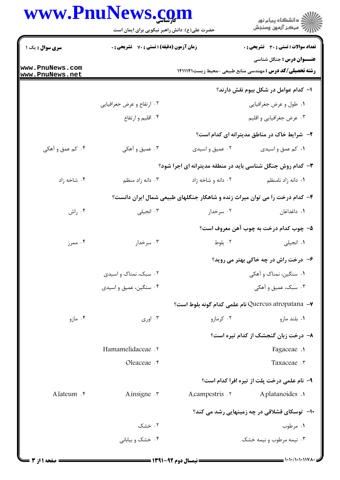## **WWW.**

|                                    | www.PnuNews.com<br>حضرت علی(ع): دانش راهبر نیکویی برای ایمان است |                                                                             | ر<br>دانشڪاه پيام نور)<br>سڪز آزمون وسنڊش                                                            |
|------------------------------------|------------------------------------------------------------------|-----------------------------------------------------------------------------|------------------------------------------------------------------------------------------------------|
| سری سوال : یک ۱                    | زمان آزمون (دقیقه) : تستی : 70 ٪ تشریحی : 0                      |                                                                             | تعداد سوالات : تستى : 30 - تشريحي : 0                                                                |
| www.PnuNews.com<br>www.PnuNews.net |                                                                  |                                                                             | <b>عنـــوان درس :</b> جنگل شناسی<br><b>رشته تحصیلی/کد درس :</b> مهندسی منابع طبیعی -محیط زیست1411141 |
|                                    |                                                                  |                                                                             | ۱– کدام عوامل در شکل بیوم نقش دارند؟                                                                 |
|                                    | ۰۲ ارتفاع و عرض جغرافیایی                                        |                                                                             | ٠١ طول و عرض جغرافيايي                                                                               |
|                                    | ۰۴ اقلیم و ارتفاع                                                |                                                                             | ۰۳ عرض جغرافیایی و اقلیم                                                                             |
|                                    |                                                                  |                                                                             | ۲- شرایط خاک در مناطق مدیترانه ای کدام است؟                                                          |
| ۰۴ کم عمق و آهکي                   | ۰۳ عمیق و آهکی                                                   | ۰۲ عمیق و اسیدی                                                             | ٠١ كم عمق و اسيدى                                                                                    |
|                                    |                                                                  | ۳- کدام روش جنگل شناسی باید در منطقه مدیترانه ای اجرا شود؟                  |                                                                                                      |
| ۰۴ شاخه زاد                        | ۰۳ دانه زاد منظم                                                 | ۰۲ دانه و شاخه زاد                                                          | ٠١. دانه زاد نامنظم                                                                                  |
|                                    |                                                                  | ۴- کدام درخت را می توان میراث زنده و شاهکار جنگلهای طبیعی شمال ایران دانست؟ |                                                                                                      |
| ۰۴ راش                             | ۰۳ انجیلی                                                        | ۰۲ سرخدار                                                                   | ٠١. داغداغان                                                                                         |
|                                    |                                                                  |                                                                             | ۵– چوب کدام درخت به چوب آهن معروف است؟                                                               |
| ۰۴ ممرز                            | ۰۳ سرخدار                                                        | ۰۲ بلوط                                                                     | ۰۱ انجیلی                                                                                            |
|                                    | ۶- درخت راش در چه خاکی بهتر می روید؟                             |                                                                             |                                                                                                      |
|                                    | ۰۲ سبک، نمناک و اسیدی                                            |                                                                             | ۰۱ سنگین، نمناک و آهکی                                                                               |
|                                    | ۰۴ سنگین، عمیق و اسیدی                                           |                                                                             | ۰۳ سبک، عمیق و آهکی                                                                                  |
|                                    |                                                                  |                                                                             | √–  Quercus atropatana? نام علمي كدام گونه بلوط است؟                                                 |
| ۰۴ مازو                            | ۰۳ اوری $\cdot$                                                  | ۰۲ کرمازو                                                                   | ۰۱ بلند مازو                                                                                         |
|                                    |                                                                  |                                                                             | ۸- درخت زبان گنجشک از کدام تیره است؟                                                                 |
|                                    | Hamamelidaceae .v                                                |                                                                             | Fagaceae .                                                                                           |
|                                    | Oleaceae . e                                                     |                                                                             | Taxaceae .                                                                                           |
|                                    |                                                                  |                                                                             | ۹- نام علمی درخت پلت از تیره افرا کدام است؟                                                          |
| A.lateum . ۴                       | A.insigne .                                                      | A.campestris .Y                                                             | A.platanoides .                                                                                      |
|                                    |                                                                  |                                                                             | <b>۱۰</b> - توسکای قشلاقی در چه زمینهایی رشد می کند؟                                                 |
|                                    | ۰۲ خشک                                                           |                                                                             | ۰۱ مرطوب                                                                                             |
|                                    | ۰۴ خشک و بیابانی                                                 |                                                                             | ۰۳ نیمه مرطوب و نیمه خشک                                                                             |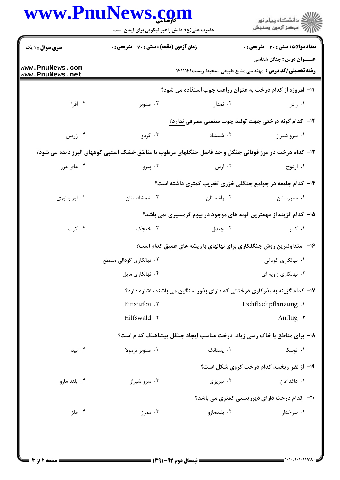|                                    | حضرت علی(ع): دانش راهبر نیکویی برای ایمان است                                                         |             | ڪ دانشڪاه پيام نور<br>پ <sup>ر</sup> مرڪز آزمون وسنڊش                                                |
|------------------------------------|-------------------------------------------------------------------------------------------------------|-------------|------------------------------------------------------------------------------------------------------|
| <b>سری سوال : ۱ یک</b>             | زمان آزمون (دقیقه) : تستی : 70 گشریحی : 0                                                             |             | تعداد سوالات : تستى : 30 قشريحى : 0                                                                  |
| www.PnuNews.com<br>www.PnuNews.net |                                                                                                       |             | <b>عنـــوان درس :</b> جنگل شناسی<br><b>رشته تحصیلی/کد درس :</b> مهندسی منابع طبیعی -محیط زیست1411141 |
|                                    |                                                                                                       |             | 11- امروزه از کدام درخت به عنوان زراعت چوب استفاده می شود؟                                           |
| ۰۴ افرا                            | ۰۳ صنوبر                                                                                              | ۰۲ نمدار    | ۰۱ راش                                                                                               |
|                                    |                                                                                                       |             | ۱۲– کدام گونه درختی جهت تولید چوب صنعتی مصرفی ندارد؟                                                 |
| ۰۴ زربین                           | ۰۳ گردو                                                                                               | ۰۲ شمشاد    | ۰۱ سرو شیراز                                                                                         |
|                                    | ۱۳- کدام درخت در مرز فوقانی جنگل و حد فاصل جنگلهای مرطوب با مناطق خشک استپی کوههای البرز دیده می شود؟ |             |                                                                                                      |
| ۰۴ مای مرز                         | ۰۳ پیرو                                                                                               | ۰۲ ارس      | ۰۱ اردوج                                                                                             |
|                                    |                                                                                                       |             | ۱۴- کدام جامعه در جوامع جنگلی خزری تخریب کمتری داشته است؟                                            |
| ۰۴ لور و اوری                      | ۰۳ شمشادستان                                                                                          | ۰۲ راشستان  | ۰۱ ممرزستان                                                                                          |
|                                    |                                                                                                       |             | ۱۵– کدام گزینه از مهمترین گونه های موجود در بیوم گرمسیری نمی باشد؟                                   |
| ۰۴ کرت                             | ۰۳ خنجک                                                                                               | ۰۲ چندل     | ۰۱ کنار                                                                                              |
|                                    |                                                                                                       |             | ۱۶- متداولترین روش جنگلکاری برای نهالهای با ریشه های عمیق کدام است؟                                  |
|                                    | ۲. نهالکاری گودالی مسطح                                                                               |             | <b>۱.</b> نهالکاری گودالی                                                                            |
|                                    | ۰۴ نهالکاری مایل                                                                                      |             | ۰۳ نهالکاری زاویه ای                                                                                 |
|                                    |                                                                                                       |             | ۱۷- کدام گزینه به بذرکاری درختانی که دارای بذور سنگین می باشند، اشاره دارد؟                          |
|                                    | Einstufen . ٢                                                                                         |             | Iochflachpflanzung .                                                                                 |
|                                    | Hilfswald . r                                                                                         |             | Anflug .r                                                                                            |
|                                    |                                                                                                       |             | ۱۸- برای مناطق با خاک رسی زیاد، درخت مناسب ایجاد جنگل پیشاهنگ کدام است؟                              |
| ۰۴ بید                             | ۰۳ صنوبر ترمولا                                                                                       | ۰۲ يستانک   | ۰۱ توسکا                                                                                             |
|                                    |                                                                                                       |             | 1۹- از نظر ریخت، کدام درخت کروی شکل است؟                                                             |
| ۰۴ بلند مازو                       | ۰۳ سرو شیراز                                                                                          | ۰۲ تېريزي   | ۰۱ داغداغان                                                                                          |
|                                    |                                                                                                       |             | <b>۲۰</b> - کدام درخت دارای دیرزیستی کمتری می باشد؟                                                  |
| ۰۴ ملز                             | ۰۳ ممرز                                                                                               | ۰۲ بلندمازو | ۰۱ سرخدار                                                                                            |